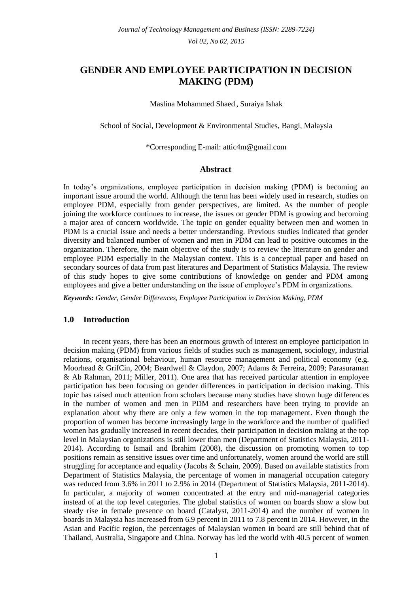# **GENDER AND EMPLOYEE PARTICIPATION IN DECISION MAKING (PDM)**

Maslina Mohammed Shaed , Suraiya Ishak

School of Social, Development & Environmental Studies, Bangi, Malaysia

\*Corresponding E-mail: attic4m@gmail.com

# **Abstract**

In today's organizations, employee participation in decision making (PDM) is becoming an important issue around the world. Although the term has been widely used in research, studies on employee PDM, especially from gender perspectives, are limited. As the number of people joining the workforce continues to increase, the issues on gender PDM is growing and becoming a major area of concern worldwide. The topic on gender equality between men and women in PDM is a crucial issue and needs a better understanding. Previous studies indicated that gender diversity and balanced number of women and men in PDM can lead to positive outcomes in the organization. Therefore, the main objective of the study is to review the literature on gender and employee PDM especially in the Malaysian context. This is a conceptual paper and based on secondary sources of data from past literatures and Department of Statistics Malaysia. The review of this study hopes to give some contributions of knowledge on gender and PDM among employees and give a better understanding on the issue of employee's PDM in organizations.

*Keywords: Gender, Gender Differences, Employee Participation in Decision Making, PDM*

# **1.0 Introduction**

In recent years, there has been an enormous growth of interest on employee participation in decision making (PDM) from various fields of studies such as management, sociology, industrial relations, organisational behaviour, human resource management and political economy (e.g. Moorhead & GrifCin, 2004; Beardwell & Claydon, 2007; Adams & Ferreira, 2009; Parasuraman & Ab Rahman, 2011; Miller, 2011). One area that has received particular attention in employee participation has been focusing on gender differences in participation in decision making. This topic has raised much attention from scholars because many studies have shown huge differences in the number of women and men in PDM and researchers have been trying to provide an explanation about why there are only a few women in the top management. Even though the proportion of women has become increasingly large in the workforce and the number of qualified women has gradually increased in recent decades, their participation in decision making at the top level in Malaysian organizations is still lower than men (Department of Statistics Malaysia, 2011- 2014). According to Ismail and Ibrahim (2008), the discussion on promoting women to top positions remain as sensitive issues over time and unfortunately, women around the world are still struggling for acceptance and equality (Jacobs & Schain, 2009). Based on available statistics from Department of Statistics Malaysia, the percentage of women in managerial occupation category was reduced from 3.6% in 2011 to 2.9% in 2014 (Department of Statistics Malaysia, 2011-2014). In particular, a majority of women concentrated at the entry and mid-managerial categories instead of at the top level categories. The global statistics of women on boards show a slow but steady rise in female presence on board (Catalyst, 2011-2014) and the number of women in boards in Malaysia has increased from 6.9 percent in 2011 to 7.8 percent in 2014. However, in the Asian and Pacific region, the percentages of Malaysian women in board are still behind that of Thailand, Australia, Singapore and China. Norway has led the world with 40.5 percent of women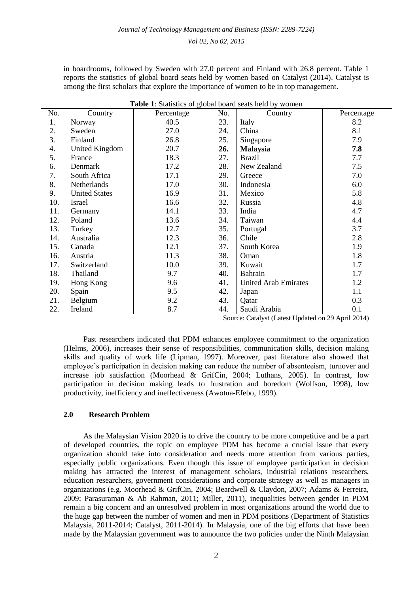| in boardrooms, followed by Sweden with 27.0 percent and Finland with 26.8 percent. Table 1       |
|--------------------------------------------------------------------------------------------------|
| reports the statistics of global board seats held by women based on Catalyst (2014). Catalyst is |
| among the first scholars that explore the importance of women to be in top management.           |

| No. | Country              | Percentage | No. | Country                     | Percentage |
|-----|----------------------|------------|-----|-----------------------------|------------|
| 1.  | Norway               | 40.5       | 23. | Italy                       | 8.2        |
| 2.  | Sweden               | 27.0       | 24. | China                       | 8.1        |
| 3.  | Finland              | 26.8       | 25. | Singapore                   | 7.9        |
| 4.  | United Kingdom       | 20.7       | 26. | <b>Malaysia</b>             | 7.8        |
| 5.  | France               | 18.3       | 27. | <b>Brazil</b>               | 7.7        |
| 6.  | Denmark              | 17.2       | 28. | New Zealand                 | 7.5        |
| 7.  | South Africa         | 17.1       | 29. | Greece                      | 7.0        |
| 8.  | Netherlands          | 17.0       | 30. | Indonesia                   | 6.0        |
| 9.  | <b>United States</b> | 16.9       | 31. | Mexico                      | 5.8        |
| 10. | Israel               | 16.6       | 32. | Russia                      | 4.8        |
| 11. | Germany              | 14.1       | 33. | India                       | 4.7        |
| 12. | Poland               | 13.6       | 34. | Taiwan                      | 4.4        |
| 13. | Turkey               | 12.7       | 35. | Portugal                    | 3.7        |
| 14. | Australia            | 12.3       | 36. | Chile                       | 2.8        |
| 15. | Canada               | 12.1       | 37. | South Korea                 | 1.9        |
| 16. | Austria              | 11.3       | 38. | Oman                        | 1.8        |
| 17. | Switzerland          | 10.0       | 39. | Kuwait                      | 1.7        |
| 18. | Thailand             | 9.7        | 40. | Bahrain                     | 1.7        |
| 19. | Hong Kong            | 9.6        | 41. | <b>United Arab Emirates</b> | 1.2        |
| 20. | Spain                | 9.5        | 42. | Japan                       | 1.1        |
| 21. | Belgium              | 9.2        | 43. | Qatar                       | 0.3        |
| 22. | Ireland              | 8.7        | 44. | Saudi Arabia                | 0.1        |

**Table 1**: Statistics of global board seats held by women

Source: Catalyst (Latest Updated on 29 April 2014)

Past researchers indicated that PDM enhances employee commitment to the organization (Helms, 2006), increases their sense of responsibilities, communication skills, decision making skills and quality of work life (Lipman, 1997). Moreover, past literature also showed that employee's participation in decision making can reduce the number of absenteeism, turnover and increase job satisfaction (Moorhead & GrifCin, 2004; Luthans, 2005). In contrast, low participation in decision making leads to frustration and boredom (Wolfson, 1998), low productivity, inefficiency and ineffectiveness (Awotua-Efebo, 1999).

#### **2.0 Research Problem**

As the Malaysian Vision 2020 is to drive the country to be more competitive and be a part of developed countries, the topic on employee PDM has become a crucial issue that every organization should take into consideration and needs more attention from various parties, especially public organizations. Even though this issue of employee participation in decision making has attracted the interest of management scholars, industrial relations researchers, education researchers, government considerations and corporate strategy as well as managers in organizations (e.g. Moorhead & GrifCin, 2004; Beardwell & Claydon, 2007; Adams & Ferreira, 2009; Parasuraman & Ab Rahman, 2011; Miller, 2011), inequalities between gender in PDM remain a big concern and an unresolved problem in most organizations around the world due to the huge gap between the number of women and men in PDM positions (Department of Statistics Malaysia, 2011-2014; Catalyst, 2011-2014). In Malaysia, one of the big efforts that have been made by the Malaysian government was to announce the two policies under the Ninth Malaysian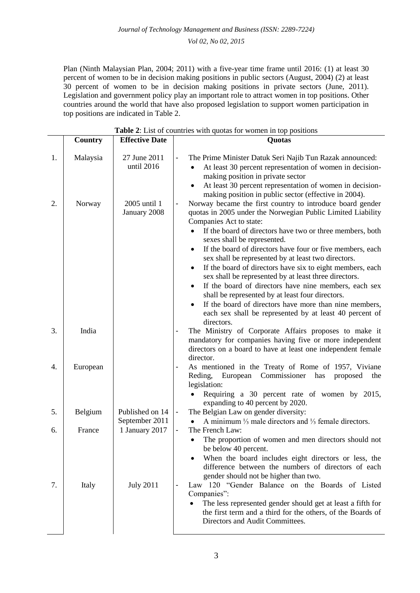Plan (Ninth Malaysian Plan, 2004; 2011) with a five-year time frame until 2016: (1) at least 30 percent of women to be in decision making positions in public sectors (August, 2004) (2) at least 30 percent of women to be in decision making positions in private sectors (June, 2011). Legislation and government policy play an important role to attract women in top positions. Other countries around the world that have also proposed legislation to support women participation in top positions are indicated in Table 2.

|    | <b>Table 2:</b> List of countries with quotas for women in top positions |                                   |                                                                                                                                                                                                                                                                                                                                                                                                                                                                                                                                                                                                                                                                                                                                                                                                      |  |
|----|--------------------------------------------------------------------------|-----------------------------------|------------------------------------------------------------------------------------------------------------------------------------------------------------------------------------------------------------------------------------------------------------------------------------------------------------------------------------------------------------------------------------------------------------------------------------------------------------------------------------------------------------------------------------------------------------------------------------------------------------------------------------------------------------------------------------------------------------------------------------------------------------------------------------------------------|--|
|    | Country                                                                  | <b>Effective Date</b>             | Quotas                                                                                                                                                                                                                                                                                                                                                                                                                                                                                                                                                                                                                                                                                                                                                                                               |  |
| 1. | Malaysia                                                                 | 27 June 2011<br>until 2016        | The Prime Minister Datuk Seri Najib Tun Razak announced:<br>$\overline{\phantom{a}}$<br>At least 30 percent representation of women in decision-<br>making position in private sector<br>At least 30 percent representation of women in decision-<br>٠<br>making position in public sector (effective in 2004).                                                                                                                                                                                                                                                                                                                                                                                                                                                                                      |  |
| 2. | Norway                                                                   | 2005 until 1<br>January 2008      | Norway became the first country to introduce board gender<br>$\overline{\phantom{a}}$<br>quotas in 2005 under the Norwegian Public Limited Liability<br>Companies Act to state:<br>If the board of directors have two or three members, both<br>sexes shall be represented.<br>If the board of directors have four or five members, each<br>$\bullet$<br>sex shall be represented by at least two directors.<br>If the board of directors have six to eight members, each<br>٠<br>sex shall be represented by at least three directors.<br>If the board of directors have nine members, each sex<br>$\bullet$<br>shall be represented by at least four directors.<br>If the board of directors have more than nine members,<br>each sex shall be represented by at least 40 percent of<br>directors. |  |
| 3. | India                                                                    |                                   | The Ministry of Corporate Affairs proposes to make it<br>$\qquad \qquad \blacksquare$<br>mandatory for companies having five or more independent<br>directors on a board to have at least one independent female<br>director.                                                                                                                                                                                                                                                                                                                                                                                                                                                                                                                                                                        |  |
| 4. | European                                                                 |                                   | As mentioned in the Treaty of Rome of 1957, Viviane<br>European<br>Commissioner<br>Reding,<br>has<br>proposed<br>the<br>legislation:<br>Requiring a 30 percent rate of women by 2015,<br>expanding to 40 percent by 2020.                                                                                                                                                                                                                                                                                                                                                                                                                                                                                                                                                                            |  |
| 5. | Belgium                                                                  | Published on 14<br>September 2011 | The Belgian Law on gender diversity:<br>$\qquad \qquad \blacksquare$<br>A minimum $\frac{1}{3}$ male directors and $\frac{1}{3}$ female directors.                                                                                                                                                                                                                                                                                                                                                                                                                                                                                                                                                                                                                                                   |  |
| 6. | France                                                                   | 1 January 2017                    | The French Law:<br>The proportion of women and men directors should not<br>be below 40 percent.<br>When the board includes eight directors or less, the<br>difference between the numbers of directors of each<br>gender should not be higher than two.                                                                                                                                                                                                                                                                                                                                                                                                                                                                                                                                              |  |
| 7. | Italy                                                                    | <b>July 2011</b>                  | Law 120 "Gender Balance on the Boards of Listed<br>Companies":<br>The less represented gender should get at least a fifth for<br>the first term and a third for the others, of the Boards of<br>Directors and Audit Committees.                                                                                                                                                                                                                                                                                                                                                                                                                                                                                                                                                                      |  |

**Table 2**: List of countries with quotas for women in top positions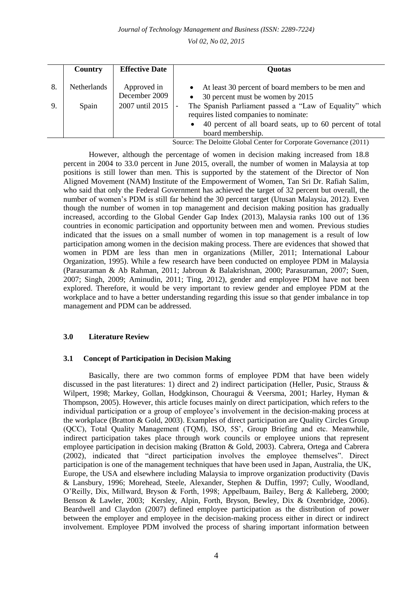*Journal of Technology Management and Business (ISSN: 2289-7224)* 

*Vol 02, No 02, 2015*

|    | Country            | <b>Effective Date</b>        | <b>Quotas</b>                                                                                                                                                                                   |
|----|--------------------|------------------------------|-------------------------------------------------------------------------------------------------------------------------------------------------------------------------------------------------|
| 8. | <b>Netherlands</b> | Approved in<br>December 2009 | At least 30 percent of board members to be men and<br>30 percent must be women by 2015                                                                                                          |
| 9. | Spain              | 2007 until 2015              | The Spanish Parliament passed a "Law of Equality" which<br>requires listed companies to nominate:<br>40 percent of all board seats, up to 60 percent of total<br>$\bullet$<br>board membership. |

Source: The Deloitte Global Center for Corporate Governance (2011)

However, although the percentage of women in decision making increased from 18.8 percent in 2004 to 33.0 percent in June 2015, overall, the number of women in Malaysia at top positions is still lower than men. This is supported by the statement of the Director of Non Aligned Movement (NAM) Institute of the Empowerment of Women, Tan Sri Dr. Rafiah Salim, who said that only the Federal Government has achieved the target of 32 percent but overall, the number of women's PDM is still far behind the 30 percent target (Utusan Malaysia, 2012). Even though the number of women in top management and decision making position has gradually increased, according to the Global Gender Gap Index (2013), Malaysia ranks 100 out of 136 countries in economic participation and opportunity between men and women. Previous studies indicated that the issues on a small number of women in top management is a result of low participation among women in the decision making process. There are evidences that showed that women in PDM are less than men in organizations (Miller, 2011; International Labour Organization, 1995). While a few research have been conducted on employee PDM in Malaysia (Parasuraman & Ab Rahman, 2011; Jabroun & Balakrishnan, 2000; Parasuraman, 2007; Suen, 2007; Singh, 2009; Aminudin, 2011; Ting, 2012), gender and employee PDM have not been explored. Therefore, it would be very important to review gender and employee PDM at the workplace and to have a better understanding regarding this issue so that gender imbalance in top management and PDM can be addressed.

# **3.0 Literature Review**

#### **3.1 Concept of Participation in Decision Making**

Basically, there are two common forms of employee PDM that have been widely discussed in the past literatures: 1) direct and 2) indirect participation (Heller, Pusic, Strauss & Wilpert, 1998; Markey, Gollan, Hodgkinson, Chouragui & Veersma, 2001; Harley, Hyman & Thompson, 2005). However, this article focuses mainly on direct participation, which refers to the individual participation or a group of employee's involvement in the decision-making process at the workplace (Bratton & Gold, 2003). Examples of direct participation are Quality Circles Group (QCC), Total Quality Management (TQM), ISO, 5S', Group Briefing and etc. Meanwhile, indirect participation takes place through work councils or employee unions that represent employee participation in decision making (Bratton & Gold, 2003). Cabrera, Ortega and Cabrera (2002), indicated that "direct participation involves the employee themselves". Direct participation is one of the management techniques that have been used in Japan, Australia, the UK, Europe, the USA and elsewhere including Malaysia to improve organization productivity (Davis & Lansbury, 1996; Morehead, Steele, Alexander, Stephen & Duffin, 1997; Cully, Woodland, O'Reilly, Dix, Millward, Bryson & Forth, 1998; Appelbaum, Bailey, Berg & Kalleberg, 2000; Benson & Lawler, 2003; Kersley, Alpin, Forth, Bryson, Bewley, Dix & Oxenbridge, 2006). Beardwell and Claydon (2007) defined employee participation as the distribution of power between the employer and employee in the decision-making process either in direct or indirect involvement. Employee PDM involved the process of sharing important information between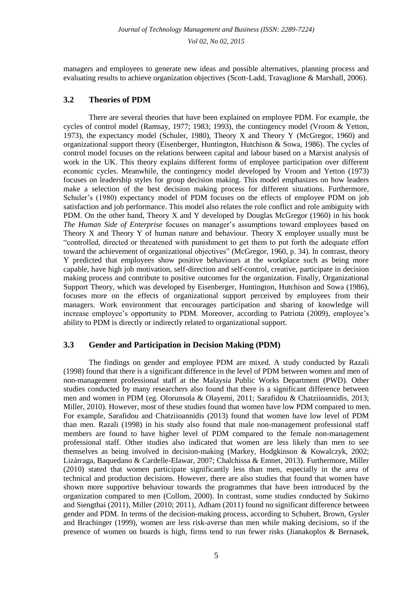managers and employees to generate new ideas and possible alternatives, planning process and evaluating results to achieve organization objectives (Scott-Ladd, Travaglione & Marshall, 2006).

# **3.2 Theories of PDM**

There are several theories that have been explained on employee PDM. For example, the cycles of control model (Ramsay, 1977; 1983; 1993), the contingency model (Vroom & Yetton, 1973), the expectancy model (Schuler, 1980), Theory X and Theory Y (McGregor, 1960) and organizational support theory (Eisenberger, Huntington, Hutchison & Sowa, 1986). The cycles of control model focuses on the relations between capital and labour based on a Marxist analysis of work in the UK. This theory explains different forms of employee participation over different economic cycles. Meanwhile, the contingency model developed by Vroom and Yetton (1973) focuses on leadership styles for group decision making. This model emphasizes on how leaders make a selection of the best decision making process for different situations. Furthermore, Schuler's (1980) expectancy model of PDM focuses on the effects of employee PDM on job satisfaction and job performance. This model also relates the role conflict and role ambiguity with PDM. On the other hand, Theory X and Y developed by Douglas McGregor (1960) in his book *The Human Side of Enterprise* focuses on manager's assumptions toward employees based on Theory X and Theory Y of human nature and behaviour. Theory X employee usually must be "controlled, directed or threatened with punishment to get them to put forth the adequate effort toward the achievement of organizational objectives" (McGregor, 1960, p. 34). In contrast, theory Y predicted that employees show positive behaviours at the workplace such as being more capable, have high job motivation, self-direction and self-control, creative, participate in decision making process and contribute to positive outcomes for the organization. Finally, Organizational Support Theory, which was developed by Eisenberger, Huntington, Hutchison and Sowa (1986), focuses more on the effects of organizational support perceived by employees from their managers. Work environment that encourages participation and sharing of knowledge will increase employee's opportunity to PDM. Moreover, according to Patriota (2009), employee's ability to PDM is directly or indirectly related to organizational support.

# **3.3 Gender and Participation in Decision Making (PDM)**

The findings on gender and employee PDM are mixed. A study conducted by Razali (1998) found that there is a significant difference in the level of PDM between women and men of non-management professional staff at the Malaysia Public Works Department (PWD). Other studies conducted by many researchers also found that there is a significant difference between men and women in PDM (eg. Olorunsola & Olayemi, 2011; Sarafidou & Chatziioannidis, 2013; Miller, 2010). However, most of these studies found that women have low PDM compared to men. For example, Sarafidou and Chatziioannidis (2013) found that women have low level of PDM than men. Razali (1998) in his study also found that male non-management professional staff members are found to have higher level of PDM compared to the female non-management professional staff. Other studies also indicated that women are less likely than men to see themselves as being involved in decision-making (Markey, Hodgkinson & Kowalczyk, 2002; Lizárraga, Baquedano & Cardelle-Elawar, 2007; Chalchissa & Emnet, 2013). Furthermore, Miller (2010) stated that women participate significantly less than men, especially in the area of technical and production decisions. However, there are also studies that found that women have shown more supportive behaviour towards the programmes that have been introduced by the organization compared to men (Collom, 2000). In contrast, some studies conducted by Sukirno and Siengthai (2011), Miller (2010; 2011), Adham (2011) found no significant difference between gender and PDM. In terms of the decision-making process, according to Schubert, Brown, Gysler and Brachinger (1999), women are less risk-averse than men while making decisions, so if the presence of women on boards is high, firms tend to run fewer risks (Jianakoplos & Bernasek,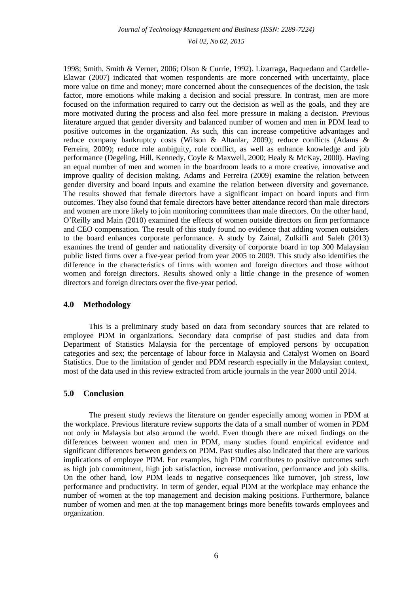1998; Smith, Smith & Verner, 2006; Olson & Currie, 1992). Lizarraga, Baquedano and Cardelle-Elawar (2007) indicated that women respondents are more concerned with uncertainty, place more value on time and money; more concerned about the consequences of the decision, the task factor, more emotions while making a decision and social pressure. In contrast, men are more focused on the information required to carry out the decision as well as the goals, and they are more motivated during the process and also feel more pressure in making a decision. Previous literature argued that gender diversity and balanced number of women and men in PDM lead to positive outcomes in the organization. As such, this can increase competitive advantages and reduce company bankruptcy costs (Wilson & Altanlar, 2009); reduce conflicts (Adams & Ferreira, 2009); reduce role ambiguity, role conflict, as well as enhance knowledge and job performance (Degeling, Hill, Kennedy, Coyle & Maxwell, 2000; Healy & McKay, 2000). Having an equal number of men and women in the boardroom leads to a more creative, innovative and improve quality of decision making. Adams and Ferreira (2009) examine the relation between gender diversity and board inputs and examine the relation between diversity and governance. The results showed that female directors have a significant impact on board inputs and firm outcomes. They also found that female directors have better attendance record than male directors and women are more likely to join monitoring committees than male directors. On the other hand, O'Reilly and Main (2010) examined the effects of women outside directors on firm performance and CEO compensation. The result of this study found no evidence that adding women outsiders to the board enhances corporate performance. A study by Zainal, Zulkifli and Saleh (2013) examines the trend of gender and nationality diversity of corporate board in top 300 Malaysian public listed firms over a five-year period from year 2005 to 2009. This study also identifies the difference in the characteristics of firms with women and foreign directors and those without women and foreign directors. Results showed only a little change in the presence of women directors and foreign directors over the five-year period.

#### **4.0 Methodology**

This is a preliminary study based on data from secondary sources that are related to employee PDM in organizations. Secondary data comprise of past studies and data from Department of Statistics Malaysia for the percentage of employed persons by occupation categories and sex; the percentage of labour force in Malaysia and Catalyst Women on Board Statistics. Due to the limitation of gender and PDM research especially in the Malaysian context, most of the data used in this review extracted from article journals in the year 2000 until 2014.

# **5.0 Conclusion**

The present study reviews the literature on gender especially among women in PDM at the workplace. Previous literature review supports the data of a small number of women in PDM not only in Malaysia but also around the world. Even though there are mixed findings on the differences between women and men in PDM, many studies found empirical evidence and significant differences between genders on PDM. Past studies also indicated that there are various implications of employee PDM. For examples, high PDM contributes to positive outcomes such as high job commitment, high job satisfaction, increase motivation, performance and job skills. On the other hand, low PDM leads to negative consequences like turnover, job stress, low performance and productivity. In term of gender, equal PDM at the workplace may enhance the number of women at the top management and decision making positions. Furthermore, balance number of women and men at the top management brings more benefits towards employees and organization.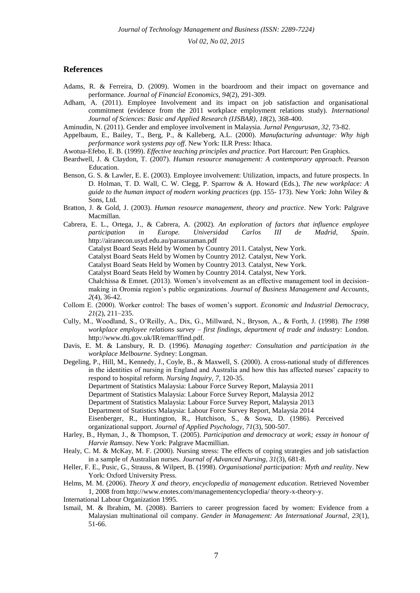*Journal of Technology Management and Business (ISSN: 2289-7224)* 

*Vol 02, No 02, 2015*

#### **References**

- Adams, R. & Ferreira, D. (2009). Women in the boardroom and their impact on governance and performance. *Journal of Financial Economics*, *94*(2), 291-309.
- Adham, A. (2011). Employee Involvement and its impact on job satisfaction and organisational commitment (evidence from the 2011 workplace employment relations study). *International Journal of Sciences: Basic and Applied Research (IJSBAR), 18*(2), 368-400.
- Aminudin, N. (2011). Gender and employee involvement in Malaysia. *Jurnal Pengurusan, 32,* 73-82.
- Appelbaum, E., Bailey, T., Berg, P., & Kalleberg, A.L. (2000). *Manufacturing advantage: Why high performance work systems pay off*. New York: ILR Press: Ithaca.
- Awotua-Efebo, E. B. (1999). *Effective teaching principles and practice*. Port Harcourt: Pen Graphics.
- Beardwell, J. & Claydon, T. (2007). *Human resource management: A contemporary approach*. Pearson Education.
- Benson, G. S. & Lawler, E. E. (2003). Employee involvement: Utilization, impacts, and future prospects. In D. Holman, T. D. Wall, C. W. Clegg, P. Sparrow & A. Howard (Eds.), *The new workplace: A guide to the human impact of modern working practices* (pp. 155- 173). New York: John Wiley & Sons, Ltd.
- Bratton, J. & Gold, J. (2003). *Human resource management, theory and practice*. New York: Palgrave Macmillan.
- Cabrera, E. L., Ortega, J., & Cabrera, A. (2002). *An exploration of factors that influence employee participation in Europe. Universidad Carlos III de Madrid, Spain*. <http://airanecon.usyd.edu.au/parasuraman.pdf>

Catalyst Board Seats Held by Women by Country 2011. Catalyst, New York.

Catalyst Board Seats Held by Women by Country 2012. Catalyst, New York.

Catalyst Board Seats Held by Women by Country 2013. Catalyst, New York.

Catalyst Board Seats Held by Women by Country 2014. Catalyst, New York.

Chalchissa & Emnet. (2013). Women's involvement as an effective management tool in decisionmaking in Oromia region's public organizations. *Journal of Business Management and Accounts*, *2*(4), 36-42.

- Collom E. (2000). Worker control: The bases of women's support. *Economic and Industrial Democracy, 21*(2), 211–235.
- Cully, M., Woodland, S., O'Reilly, A., Dix, G., Millward, N., Bryson, A., & Forth, J. (1998). *The 1998 workplace employee relations survey – first findings, department of trade and industry:* London. http://www.dti.gov.uk/IR/emar/ffind.pdf.
- Davis, E. M. & Lansbury, R. D. (1996). *Managing together: Consultation and participation in the workplace Melbourne*. Sydney: Longman.

Degeling, P., Hill, M., Kennedy, J., Coyle, B., & Maxwell, S. (2000). A cross-national study of differences in the identities of nursing in England and Australia and how this has affected nurses' capacity to respond to hospital reform. *Nursing Inquiry, 7,* 120-35. Department of Statistics Malaysia: Labour Force Survey Report, Malaysia 2011 Department of Statistics Malaysia: Labour Force Survey Report, Malaysia 2012

- 
- Department of Statistics Malaysia: Labour Force Survey Report, Malaysia 2013
- Department of Statistics Malaysia: Labour Force Survey Report, Malaysia 2014

Eisenberger, R., Huntington, R., Hutchison, S., & Sowa, D. (1986). Perceived organizational support. *Journal of Applied Psychology, 71*(3), 500-507.

- Harley, B., Hyman, J., & Thompson, T. (2005). *Participation and democracy at work; essay in honour of Harvie Ramsay*. New York: Palgrave Macmillian.
- Healy, C. M. & McKay, M. F. (2000). Nursing stress: The effects of coping strategies and job satisfaction in a sample of Australian nurses. *Journal of Advanced Nursing, 31*(3), 681-8.
- Heller, F. E., Pusic, G., Strauss, & Wilpert, B. (1998). *Organisational participation: Myth and reality*. New York: Oxford University Press.
- Helms, M. M. (2006). *Theory X and theory, encyclopedia of management education*. Retrieved November 1, 2008 from http://www.enotes.com/managementencyclopedia/ theory-x-theory-y.
- International Labour Organization 1995.
- Ismail, M. & Ibrahim, M. (2008). Barriers to career progression faced by women: Evidence from a Malaysian multinational oil company. *Gender in Management: An International Journal, 23*(1), 51-66.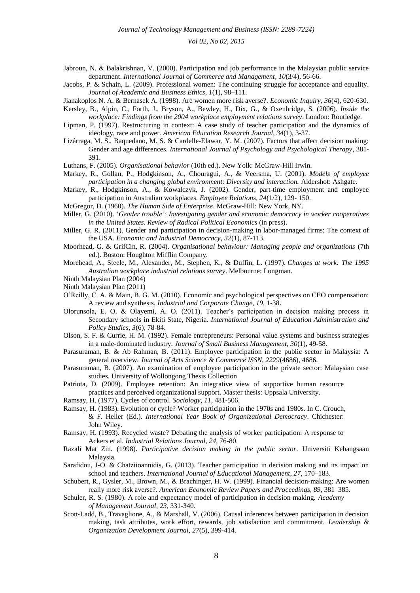- Jabroun, N. & Balakrishnan, V. (2000). Participation and job performance in the Malaysian public service department. *International Journal of Commerce and Management, 10*(3/4), 56-66.
- Jacobs, P. & Schain, L. (2009). Professional women: The continuing struggle for acceptance and equality. *Journal of Academic and Business Ethics, 1*(1), 98–111.

Jianakoplos N. A. & Bernasek A. (1998). Are women more risk averse?. *Economic Inquiry, 36*(4), 620-630.

- Kersley, B., Alpin, C., Forth, J., Bryson, A., Bewley, H., Dix, G., & Oxenbridge, S. (2006). *Inside the workplace: Findings from the 2004 workplace employment relations survey*. London: Routledge.
- Lipman, P. (1997). Restructuring in context: A case study of teacher participation and the dynamics of ideology, race and power. *American Education Research Journal, 34*(1), 3-37.
- Lizárraga, M. S., Baquedano, M. S. & Cardelle-Elawar, Y. M. (2007). Factors that affect decision making: Gender and age differences. *International Journal of Psychology and Psychological Therapy,* 381- 391.

Luthans, F. (2005). *Organisational behavior* (10th ed.). New Yolk: McGraw-Hill Irwin.

- Markey, R., Gollan, P., Hodgkinson, A., Chouragui, A., & Veersma, U. (2001). *Models of employee participation in a changing global environment: Diversity and interaction.* Aldershot: Ashgate.
- Markey, R., Hodgkinson, A., & Kowalczyk, J. (2002). Gender, part-time employment and employee participation in Australian workplaces. *Employee Relations, 24*(1/2), 129- 150.

McGregor, D. (1960). *The Human Side of Enterprise*. McGraw-Hill: New York, NY.

- Miller, G. (2010). '*Gender trouble': Investigating gender and economic democracy in worker cooperatives in the United States*. *Review of Radical Political Economics* (in press).
- Miller, G. R. (2011). Gender and participation in decision-making in labor-managed firms: The context of the USA. *Economic and Industrial Democracy, 32*(1), 87-113.
- Moorhead, G. & GrifCin, R. (2004). *Organisational behaviour: Managing people and organizations* (7th ed.). Boston: Houghton Mifflin Company.
- Morehead, A., Steele, M., Alexander, M., Stephen, K., & Duffin, L. (1997). *Changes at work: The 1995 Australian workplace industrial relations survey*. Melbourne: Longman.
- Ninth Malaysian Plan (2004)
- Ninth Malaysian Plan (2011)
- O'Reilly, C. A. & Main, B. G. M. (2010). Economic and psychological perspectives on CEO compensation: A review and synthesis. *Industrial and Corporate Change, 19*, 1-38.
- Olorunsola, E. O. & Olayemi, A. O. (2011). Teacher's participation in decision making process in Secondary schools in Ekiti State, Nigeria. *International Journal of Education Administration and Policy Studies*, *3*(6), 78-84.
- Olson, S. F. & Currie, H. M. (1992). Female entrepreneurs: Personal value systems and business strategies in a male-dominated industry. *Journal of Small Business Management, 30*(1), 49-58.
- Parasuraman, B. & Ab Rahman, B. (2011). Employee participation in the public sector in Malaysia: A general overview. *Journal of Arts Science & Commerce ISSN, 2229*(4686), 4686.
- Parasuraman, B. (2007). An examination of employee participation in the private sector: Malaysian case studies. University of Wollongong Thesis Collection
- Patriota, D. (2009). Employee retention: An integrative view of supportive human resource practices and perceived organizational support. Master thesis: Uppsala University.
- Ramsay, H. (1977). Cycles of control. *Sociology, 11*, 481-506.
- Ramsay, H. (1983). Evolution or cycle? Worker participation in the 1970s and 1980s. In C. Crouch, & F. Heller (Ed.). *International Year Book of Organizational Democracy*. Chichester: John Wiley.
- Ramsay, H. (1993). Recycled waste? Debating the analysis of worker participation: A response to Ackers et al. *Industrial Relations Journal, 24*, 76-80.
- Razali Mat Zin. (1998). *Participative decision making in the public sector*. Universiti Kebangsaan Malaysia.
- Sarafidou, J-O. & Chatziioannidis, G. (2013). Teacher participation in decision making and its impact on school and teachers. *International Journal of Educational Management, 27,* 170–183.
- Schubert, R., Gysler, M., Brown, M., & Brachinger, H. W. (1999). Financial decision-making: Are women really more risk averse?. *American Economic Review Papers and Proceedings, 89,* 381–385.
- Schuler, R. S. (1980). A role and expectancy model of participation in decision making. *Academy of Management Journal, 23*, 331-340.
- Scott-Ladd, B., Travaglione, A., & Marshall, V. (2006). Causal inferences between participation in decision making, task attributes, work effort, rewards, job satisfaction and commitment. *Leadership & Organization Development Journal, 27*(5), 399-414.